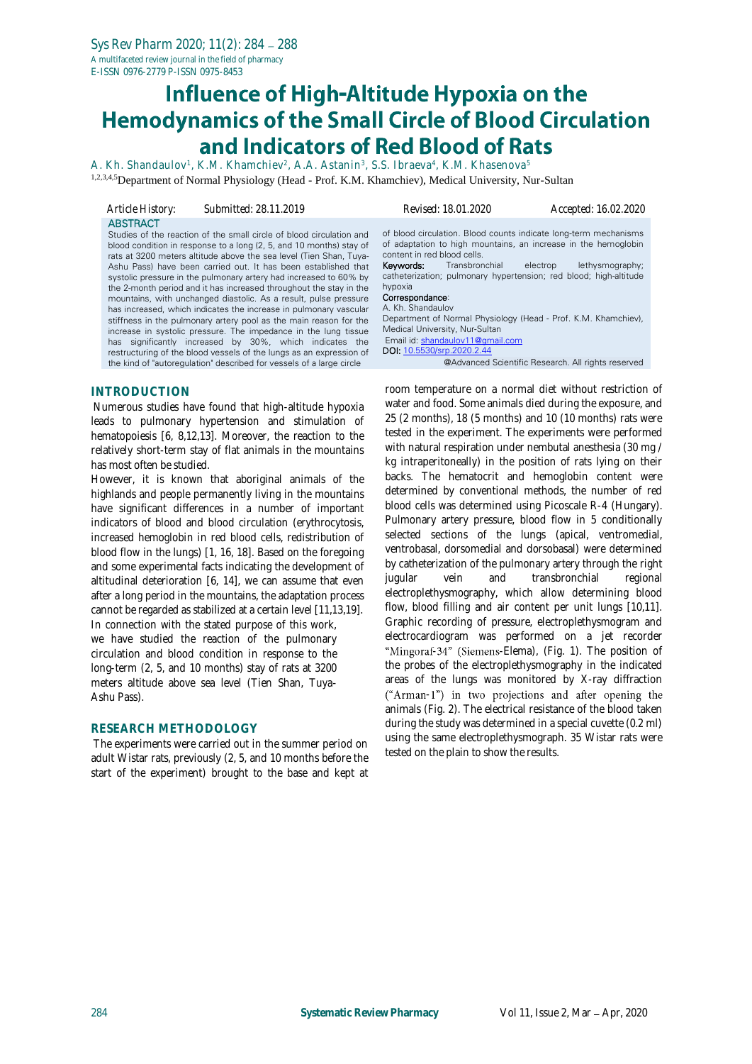# Influence of High-Altitude Hypoxia on the<br>Hemodynamics of the Small Circle of Blood Circulation and Indicators of Red Blood of Rats

A. Kh. Shandaulov<sup>1</sup>, K.M. Khamchiev<sup>2</sup>, A.A. Astanin<sup>3</sup>, S.S. Ibraeva<sup>4</sup>, K.M. Khasenova<sup>5</sup> 1,2,3,4,5Department of Normal Physiology (Head - Prof. K.M. Khamchiev), Medical University, Nur-Sultan

| Article History:    | Submitted: 28.11.2019                                                                                                                                                                                                                                                                                                                                                                                                                                                                                                                                                                                                                                                                                                                                                                                                                                                                                                     | Revised: 18.01.2020                                                                                                                                                                                                                                                                                                                                                                                                                                                                            | Accepted: 16.02.2020                                                              |
|---------------------|---------------------------------------------------------------------------------------------------------------------------------------------------------------------------------------------------------------------------------------------------------------------------------------------------------------------------------------------------------------------------------------------------------------------------------------------------------------------------------------------------------------------------------------------------------------------------------------------------------------------------------------------------------------------------------------------------------------------------------------------------------------------------------------------------------------------------------------------------------------------------------------------------------------------------|------------------------------------------------------------------------------------------------------------------------------------------------------------------------------------------------------------------------------------------------------------------------------------------------------------------------------------------------------------------------------------------------------------------------------------------------------------------------------------------------|-----------------------------------------------------------------------------------|
| <b>ABSTRACT</b>     | Studies of the reaction of the small circle of blood circulation and<br>blood condition in response to a long (2, 5, and 10 months) stay of<br>rats at 3200 meters altitude above the sea level (Tien Shan, Tuya-<br>Ashu Pass) have been carried out. It has been established that<br>systolic pressure in the pulmonary artery had increased to 60% by<br>the 2-month period and it has increased throughout the stay in the<br>mountains, with unchanged diastolic. As a result, pulse pressure<br>has increased, which indicates the increase in pulmonary vascular<br>stiffness in the pulmonary artery pool as the main reason for the<br>increase in systolic pressure. The impedance in the lung tissue<br>has significantly increased by 30%, which indicates the<br>restructuring of the blood vessels of the lungs as an expression of<br>the kind of "autoregulation" described for vessels of a large circle | of blood circulation. Blood counts indicate long-term mechanisms<br>of adaptation to high mountains, an increase in the hemoglobin<br>content in red blood cells.<br>Transbronchial<br>Keywords:<br>catheterization; pulmonary hypertension; red blood; high-altitude<br>hypoxia<br>Correspondance:<br>A. Kh. Shandaulov<br>Department of Normal Physiology (Head - Prof. K.M. Khamchiev),<br>Medical University, Nur-Sultan<br>Email id: shandaulov11@gmail.com<br>DOI: 10.5530/srp.2020.2.44 | electrop<br>lethysmography;<br>@Advanced Scientific Research. All rights reserved |
| <b>INTRODUCTION</b> |                                                                                                                                                                                                                                                                                                                                                                                                                                                                                                                                                                                                                                                                                                                                                                                                                                                                                                                           | room temperature on a normal diet without restriction of<br>water and food. Some animals died during the experience and                                                                                                                                                                                                                                                                                                                                                                        |                                                                                   |

Numerous studies have found that high-altitude hypoxia leads to pulmonary hypertension and stimulation of hematopoiesis [6, 8,12,13]. Moreover, the reaction to the relatively short-term stay of flat animals in the mountains has most often be studied.

However, it is known that aboriginal animals of the highlands and people permanently living in the mountains have significant differences in a number of important indicators of blood and blood circulation (erythrocytosis, increased hemoglobin in red blood cells, redistribution of blood flow in the lungs) [1, 16, 18]. Based on the foregoing and some experimental facts indicating the development of altitudinal deterioration [6, 14], we can assume that even after a long period in the mountains, the adaptation process cannot be regarded as stabilized at a certain level [11,13,19]. In connection with the stated purpose of this work, we have studied the reaction of the pulmonary circulation and blood condition in response to the long-term (2, 5, and 10 months) stay of rats at 3200 meters altitude above sea level (Tien Shan, Tuya-Ashu Pass).

### **RESEARCH METHODOLOGY**

The experiments were carried out in the summer period on adult Wistar rats, previously (2, 5, and 10 months before the start of the experiment) brought to the base and kept at

room temperature on a normal diet without restriction of water and food. Some animals died during the exposure, and 25 (2 months), 18 (5 months) and 10 (10 months) rats were tested in the experiment. The experiments were performed with natural respiration under nembutal anesthesia (30 mg / kg intraperitoneally) in the position of rats lying on their backs. The hematocrit and hemoglobin content were determined by conventional methods, the number of red blood cells was determined using Picoscale R-4 (Hungary). Pulmonary artery pressure, blood flow in 5 conditionally selected sections of the lungs (apical, ventromedial, ventrobasal, dorsomedial and dorsobasal) were determined by catheterization of the pulmonary artery through the right jugular vein and transbronchial regional electroplethysmography, which allow determining blood flow, blood filling and air content per unit lungs [10,11]. Graphic recording of pressure, electroplethysmogram and electrocardiogram was performed on a jet recorder "Mingoraf-34" (Siemens-Elema), (Fig. 1). The position of the probes of the electroplethysmography in the indicated areas of the lungs was monitored by X-ray diffraction ("Arman-1") in two projections and after opening the animals (Fig. 2). The electrical resistance of the blood taken during the study was determined in a special cuvette (0.2 ml) using the same electroplethysmograph. 35 Wistar rats were tested on the plain to show the results.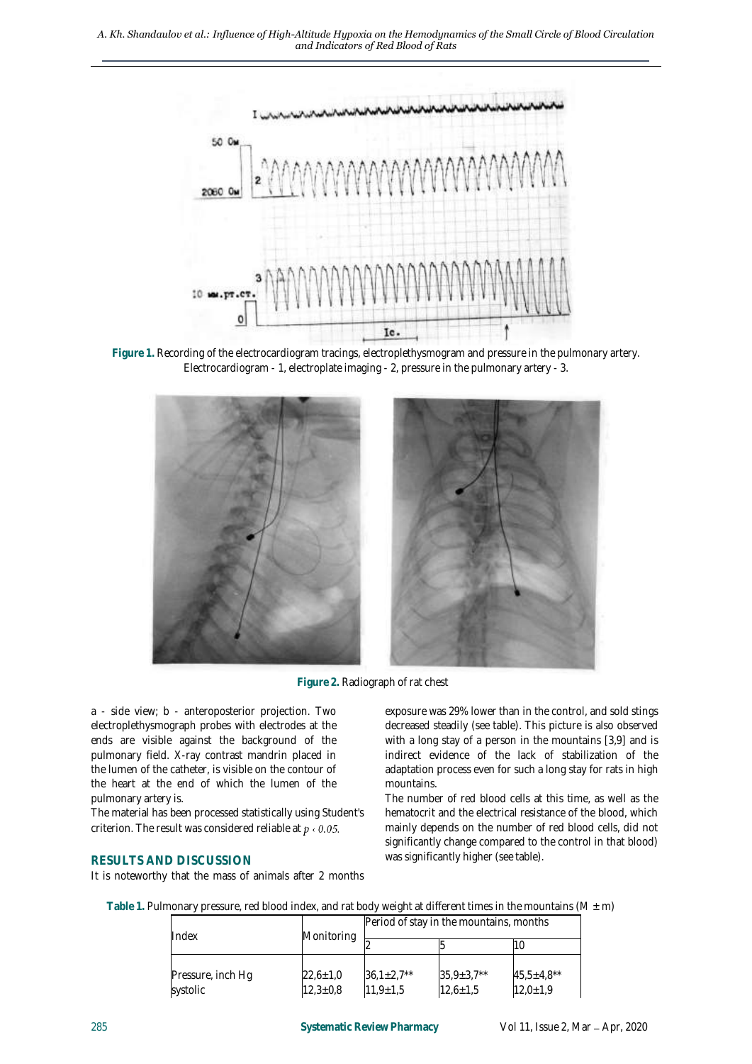*A. Kh. Shandaulov et al.: Influence of High-Altitude Hypoxia on the Hemodynamics of the Small Circle of Blood Circulation and Indicators of Red Blood of Rats*



**Figure 1.** Recording of the electrocardiogram tracings, electroplethysmogram and pressure in the pulmonary artery. Electrocardiogram - 1, electroplate imaging - 2, pressure in the pulmonary artery - 3.



**Figure 2.** Radiograph of rat chest

a - side view; b - anteroposterior projection. Two electroplethysmograph probes with electrodes at the ends are visible against the background of the pulmonary field. X-ray contrast mandrin placed in the lumen of the catheter, is visible on the contour of the heart at the end of which the lumen of the pulmonary artery is.

The material has been processed statistically using Student's criterion. The result was considered reliable at  $p \triangleleft 0.05$ .

### **RESULTS AND DISCUSSION**

It is noteworthy that the mass of animals after 2 months

exposure was 29% lower than in the control, and sold stings decreased steadily (see table). This picture is also observed with a long stay of a person in the mountains [3,9] and is indirect evidence of the lack of stabilization of the adaptation process even for such a long stay for rats in high mountains.

The number of red blood cells at this time, as well as the hematocrit and the electrical resistance of the blood, which mainly depends on the number of red blood cells, did not significantly change compared to the control in that blood) was significantly higher (see table).

| Index                         | Monitoring                   | Period of stay in the mountains, months |                                    |                                     |  |
|-------------------------------|------------------------------|-----------------------------------------|------------------------------------|-------------------------------------|--|
|                               |                              |                                         |                                    |                                     |  |
| Pressure, inch Hg<br>systolic | $22,6 \pm 1,0$<br>$12,3+0,8$ | $36.1 \pm 2.7**$<br>$11.9 \pm 1.5$      | $35,9 \pm 3,7**$<br>$12,6 \pm 1,5$ | $45,5 \pm 4,8$ **<br>$12,0 \pm 1,9$ |  |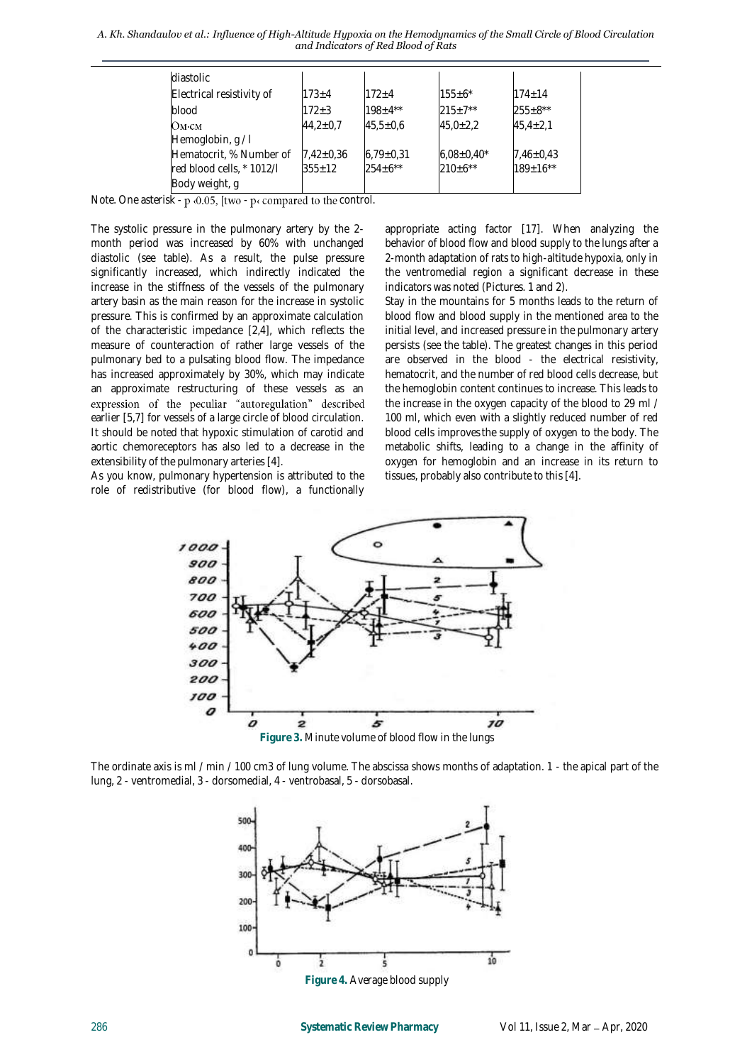*A. Kh. Shandaulov et al.: Influence of High-Altitude Hypoxia on the Hemodynamics of the Small Circle of Blood Circulation and Indicators of Red Blood of Rats*

| diastolic                 |                |                 |                 |                |
|---------------------------|----------------|-----------------|-----------------|----------------|
| Electrical resistivity of | $173 + 4$      | $172 + 4$       | $155 \pm 6^*$   | $174 + 14$     |
| blood                     | $172 + 3$      | $198 + 4**$     | $215+7**$       | $255 \pm 8**$  |
| Ом⋅см                     | $44.2 \pm 0.7$ | $45,5 \pm 0,6$  | $45.0 \pm 2.2$  | $45.4 \pm 2.1$ |
| Hemoglobin, g/l           |                |                 |                 |                |
| Hematocrit, % Number of   | $7,42\pm0,36$  | $6.79 \pm 0.31$ | $6,08\pm0,40^*$ | $7,46\pm0.43$  |
| red blood cells, * 1012/I | $355+12$       | $254+6**$       | $210+6**$       | $189+16**$     |
| Body weight, g            |                |                 |                 |                |

Note. One asterisk -  $p$  < 0.05, [two -  $p$ < compared to the control.

The systolic pressure in the pulmonary artery by the 2 month period was increased by 60% with unchanged diastolic (see table). As a result, the pulse pressure significantly increased, which indirectly indicated the increase in the stiffness of the vessels of the pulmonary artery basin as the main reason for the increase in systolic pressure. This is confirmed by an approximate calculation of the characteristic impedance [2,4], which reflects the measure of counteraction of rather large vessels of the pulmonary bed to a pulsating blood flow. The impedance has increased approximately by 30%, which may indicate an approximate restructuring of these vessels as an expression of the peculiar "autoregulation" described earlier [5,7] for vessels of a large circle of blood circulation. It should be noted that hypoxic stimulation of carotid and aortic chemoreceptors has also led to a decrease in the extensibility of the pulmonary arteries [4].

As you know, pulmonary hypertension is attributed to the role of redistributive (for blood flow), a functionally appropriate acting factor [17]. When analyzing the behavior of blood flow and blood supply to the lungs after a 2-month adaptation of rats to high-altitude hypoxia, only in the ventromedial region a significant decrease in these indicators was noted (Pictures. 1 and 2).

Stay in the mountains for 5 months leads to the return of blood flow and blood supply in the mentioned area to the initial level, and increased pressure in the pulmonary artery persists (see the table). The greatest changes in this period are observed in the blood - the electrical resistivity, hematocrit, and the number of red blood cells decrease, but the hemoglobin content continues to increase. This leads to the increase in the oxygen capacity of the blood to 29 ml / 100 ml, which even with a slightly reduced number of red blood cells improvesthe supply of oxygen to the body. The metabolic shifts, leading to a change in the affinity of oxygen for hemoglobin and an increase in its return to tissues, probably also contribute to this [4].



The ordinate axis is ml / min / 100 cm3 of lung volume. The abscissa shows months of adaptation. 1 - the apical part of the lung, 2 - ventromedial, 3 - dorsomedial, 4 - ventrobasal, 5 - dorsobasal.

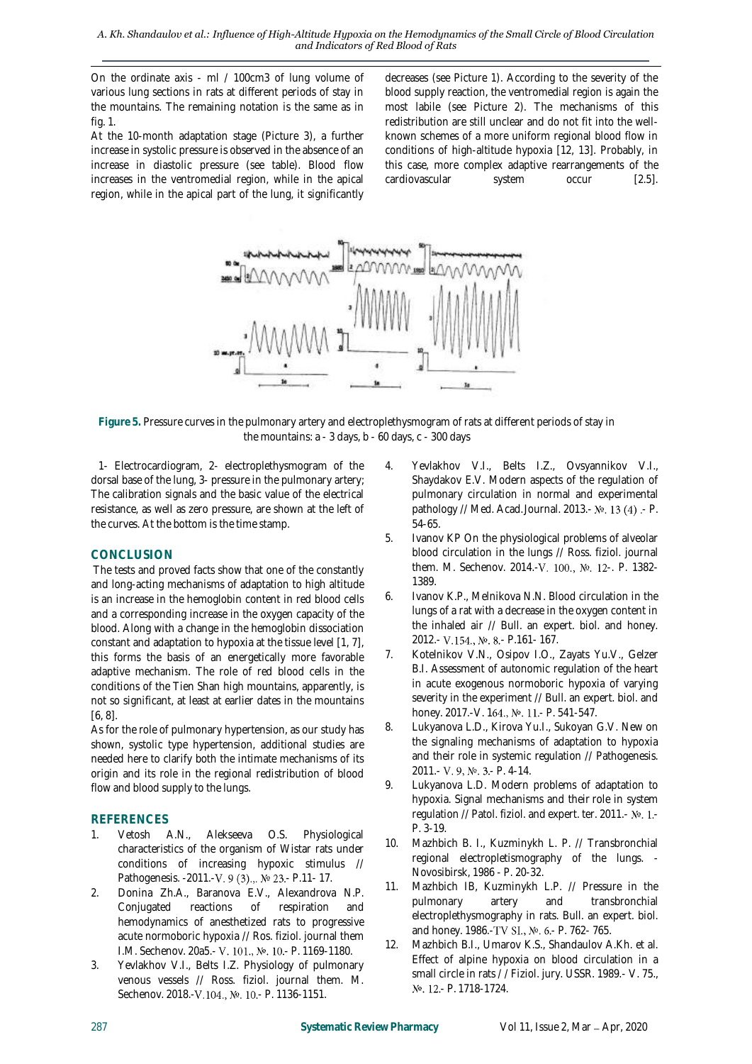*A. Kh. Shandaulov et al.: Influence of High-Altitude Hypoxia on the Hemodynamics of the Small Circle of Blood Circulation and Indicators of Red Blood of Rats*

On the ordinate axis - ml / 100cm3 of lung volume of various lung sections in rats at different periods of stay in the mountains. The remaining notation is the same as in fig. 1.

At the 10-month adaptation stage (Picture 3), a further increase in systolic pressure is observed in the absence of an increase in diastolic pressure (see table). Blood flow increases in the ventromedial region, while in the apical region, while in the apical part of the lung, it significantly

decreases (see Picture 1). According to the severity of the blood supply reaction, the ventromedial region is again the most labile (see Picture 2). The mechanisms of this redistribution are still unclear and do not fit into the wellknown schemes of a more uniform regional blood flow in conditions of high-altitude hypoxia [12, 13]. Probably, in this case, more complex adaptive rearrangements of the cardiovascular system occur [2.5].



**Figure 5.** Pressure curves in the pulmonary artery and electroplethysmogram of rats at different periods of stay in the mountains: a - 3 days, b - 60 days, c - 300 days

1- Electrocardiogram, 2- electroplethysmogram of the dorsal base of the lung, 3- pressure in the pulmonary artery; The calibration signals and the basic value of the electrical resistance, as well as zero pressure, are shown at the left of the curves. At the bottom is the time stamp.

## **CONCLUSION**

The tests and proved facts show that one of the constantly and long-acting mechanisms of adaptation to high altitude is an increase in the hemoglobin content in red blood cells and a corresponding increase in the oxygen capacity of the blood. Along with a change in the hemoglobin dissociation constant and adaptation to hypoxia at the tissue level [1, 7], this forms the basis of an energetically more favorable adaptive mechanism. The role of red blood cells in the conditions of the Tien Shan high mountains, apparently, is not so significant, at least at earlier dates in the mountains [6, 8].

As for the role of pulmonary hypertension, as our study has shown, systolic type hypertension, additional studies are needed here to clarify both the intimate mechanisms of its origin and its role in the regional redistribution of blood flow and blood supply to the lungs.

- REFERENCES<br>1. Vetosh A.N., 1. Vetosh A.N., Alekseeva O.S. Physiological characteristics of the organism of Wistar rats under conditions of increasing hypoxic stimulus // Pathogenesis. -2011.-V. 9 (3).,. № 23.- P.11- 17.
- 2. Donina Zh.A., Baranova E.V., Alexandrova N.P. Conjugated reactions of respiration and hemodynamics of anesthetized rats to progressive acute normoboric hypoxia // Ros. fiziol. journal them I.M. Sechenov. 20a5.- V. 101., №. 10.- P. 1169-1180.
- 3. Yevlakhov V.I., Belts I.Z. Physiology of pulmonary venous vessels // Ross. fiziol. journal them. M. Sechenov. 2018.-V.104., Nº. 10.- P. 1136-1151.
- 4. Yevlakhov V.I., Belts I.Z., Ovsyannikov V.I., Shaydakov E.V. Modern aspects of the regulation of pulmonary circulation in normal and experimental pathology // Med. Acad. Journal. 2013. -  $N_e$ . 13 (4). - P. 54-65.
- 5. Ivanov KP On the physiological problems of alveolar blood circulation in the lungs // Ross. fiziol. journal them. M. Sechenov. 2014.-V. 100., №. 12-. P. 1382-1389.
- 6. Ivanov K.P., Melnikova N.N. Blood circulation in the lungs of a rat with a decrease in the oxygen content in the inhaled air // Bull. an expert. biol. and honey. 2012.- V.154., No. 8.- P.161- 167.
- 7. Kotelnikov V.N., Osipov I.O., Zayats Yu.V., Gelzer B.I. Assessment of autonomic regulation of the heart in acute exogenous normoboric hypoxia of varying severity in the experiment // Bull. an expert. biol. and honey. 2017.-V. 164., №. 11.- P. 541-547.
- 8. Lukyanova L.D., Kirova Yu.I., Sukoyan G.V. New on the signaling mechanisms of adaptation to hypoxia and their role in systemic regulation // Pathogenesis. 2011.- V. 9, No. 3.- P. 4-14.
- 9. Lukyanova L.D. Modern problems of adaptation to hypoxia. Signal mechanisms and their role in system regulation // Patol. fiziol. and expert. ter. 2011.- No. 1.-P. 3-19.
- 10. Mazhbich B. I., Kuzminykh L. P. // Transbronchial regional electropletismography of the lungs. - Novosibirsk, 1986 - P. 20-32.
- 11. Mazhbich IB, Kuzminykh L.P. // Pressure in the pulmonary artery and transbronchial electroplethysmography in rats. Bull. an expert. biol. and honey. 1986.-TV SI., №. 6.- P. 762- 765.
- 12. Mazhbich B.I., Umarov K.S., Shandaulov A.Kh. et al. Effect of alpine hypoxia on blood circulation in a small circle in rats / / Fiziol. jury. USSR. 1989.- V. 75., No. 12.- P. 1718-1724.